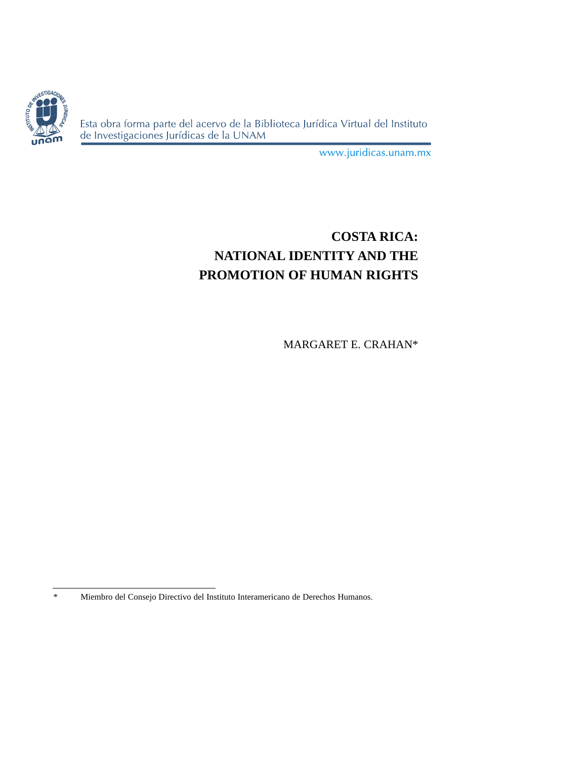

Esta obra forma parte del acervo de la Biblioteca Jurídica Virtual del Instituto de Investigaciones Jurídicas de la UNAM

www.juridicas.unam.mx

# **COSTA RICA: NATIONAL IDENTITY AND THE PROMOTION OF HUMAN RIGHTS**

MARGARET E. CRAHAN\*

<sup>\*</sup> Miembro del Consejo Directivo del Instituto Interamericano de Derechos Humanos.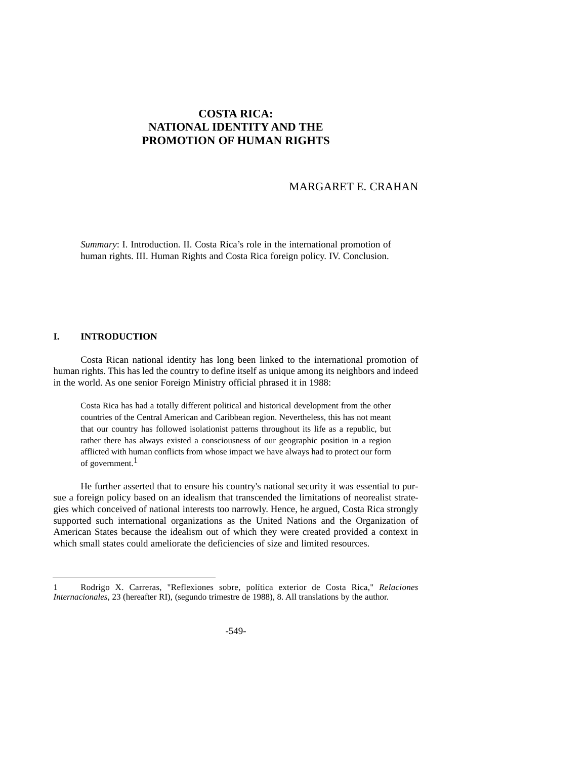# **COSTA RICA: NATIONAL IDENTITY AND THE PROMOTION OF HUMAN RIGHTS**

## MARGARET E. CRAHAN

*Summary*: I. Introduction. II. Costa Rica's role in the international promotion of human rights. III. Human Rights and Costa Rica foreign policy. IV. Conclusion.

#### **I. INTRODUCTION**

Costa Rican national identity has long been linked to the international promotion of human rights. This has led the country to define itself as unique among its neighbors and indeed in the world. As one senior Foreign Ministry official phrased it in 1988:

Costa Rica has had a totally different political and historical development from the other countries of the Central American and Caribbean region. Nevertheless, this has not meant that our country has followed isolationist patterns throughout its life as a republic, but rather there has always existed a consciousness of our geographic position in a region afflicted with human conflicts from whose impact we have always had to protect our form of government.<sup>1</sup>

He further asserted that to ensure his country's national security it was essential to pursue a foreign policy based on an idealism that transcended the limitations of neorealist strategies which conceived of national interests too narrowly. Hence, he argued, Costa Rica strongly supported such international organizations as the United Nations and the Organization of American States because the idealism out of which they were created provided a context in which small states could ameliorate the deficiencies of size and limited resources.

<sup>1</sup> Rodrigo X. Carreras, "Reflexiones sobre, política exterior de Costa Rica," *Relaciones Internacionales, 23* (hereafter RI), (segundo trimestre de 1988), 8. All translations by the author.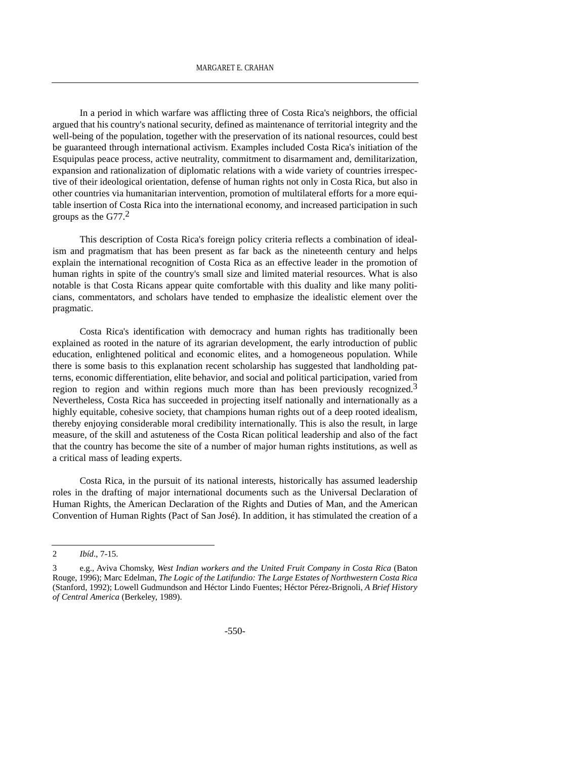In a period in which warfare was afflicting three of Costa Rica's neighbors, the official argued that his country's national security, defined as maintenance of territorial integrity and the well-being of the population, together with the preservation of its national resources, could best be guaranteed through international activism. Examples included Costa Rica's initiation of the Esquipulas peace process, active neutrality, commitment to disarmament and, demilitarization, expansion and rationalization of diplomatic relations with a wide variety of countries irrespective of their ideological orientation, defense of human rights not only in Costa Rica, but also in other countries via humanitarian intervention, promotion of multilateral efforts for a more equitable insertion of Costa Rica into the international economy, and increased participation in such groups as the  $G77<sup>2</sup>$ 

This description of Costa Rica's foreign policy criteria reflects a combination of idealism and pragmatism that has been present as far back as the nineteenth century and helps explain the international recognition of Costa Rica as an effective leader in the promotion of human rights in spite of the country's small size and limited material resources. What is also notable is that Costa Ricans appear quite comfortable with this duality and like many politicians, commentators, and scholars have tended to emphasize the idealistic element over the pragmatic.

Costa Rica's identification with democracy and human rights has traditionally been explained as rooted in the nature of its agrarian development, the early introduction of public education, enlightened political and economic elites, and a homogeneous population. While there is some basis to this explanation recent scholarship has suggested that landholding patterns, economic differentiation, elite behavior, and social and political participation, varied from region to region and within regions much more than has been previously recognized.<sup>3</sup> Nevertheless, Costa Rica has succeeded in projecting itself nationally and internationally as a highly equitable, cohesive society, that champions human rights out of a deep rooted idealism, thereby enjoying considerable moral credibility internationally. This is also the result, in large measure, of the skill and astuteness of the Costa Rican political leadership and also of the fact that the country has become the site of a number of major human rights institutions, as well as a critical mass of leading experts.

Costa Rica, in the pursuit of its national interests, historically has assumed leadership roles in the drafting of major international documents such as the Universal Declaration of Human Rights, the American Declaration of the Rights and Duties of Man, and the American Convention of Human Rights (Pact of San José). In addition, it has stimulated the creation of a

<sup>2</sup> *Ibíd*., 7-15.

<sup>3</sup> e.g., Aviva Chomsky, *West Indian workers and the United Fruit Company in Costa Rica* (Baton Rouge, 1996); Marc Edelman, *The Logic of the Latifundio: The Large Estates of Northwestern Costa Rica* (Stanford, 1992); Lowell Gudmundson and Héctor Lindo Fuentes; Héctor Pérez-Brignoli, *A Brief History of Central America* (Berkeley, 1989).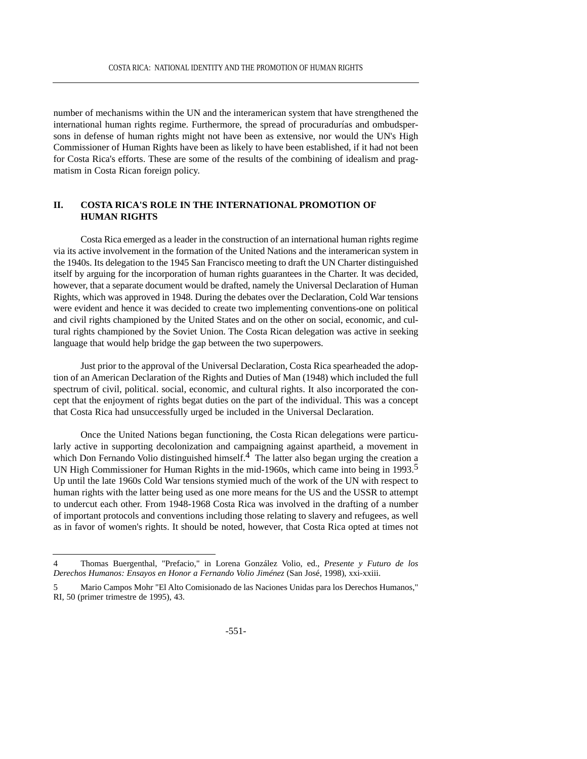number of mechanisms within the UN and the interamerican system that have strengthened the international human rights regime. Furthermore, the spread of procuradurías and ombudspersons in defense of human rights might not have been as extensive, nor would the UN's High Commissioner of Human Rights have been as likely to have been established, if it had not been for Costa Rica's efforts. These are some of the results of the combining of idealism and pragmatism in Costa Rican foreign policy.

## **II. COSTA RICA'S ROLE IN THE INTERNATIONAL PROMOTION OF HUMAN RIGHTS**

Costa Rica emerged as a leader in the construction of an international human rights regime via its active involvement in the formation of the United Nations and the interamerican system in the 1940s. Its delegation to the 1945 San Francisco meeting to draft the UN Charter distinguished itself by arguing for the incorporation of human rights guarantees in the Charter. It was decided, however, that a separate document would be drafted, namely the Universal Declaration of Human Rights, which was approved in 1948. During the debates over the Declaration, Cold War tensions were evident and hence it was decided to create two implementing conventions-one on political and civil rights championed by the United States and on the other on social, economic, and cultural rights championed by the Soviet Union. The Costa Rican delegation was active in seeking language that would help bridge the gap between the two superpowers.

Just prior to the approval of the Universal Declaration, Costa Rica spearheaded the adoption of an American Declaration of the Rights and Duties of Man (1948) which included the full spectrum of civil, political. social, economic, and cultural rights. It also incorporated the concept that the enjoyment of rights begat duties on the part of the individual. This was a concept that Costa Rica had unsuccessfully urged be included in the Universal Declaration.

Once the United Nations began functioning, the Costa Rican delegations were particularly active in supporting decolonization and campaigning against apartheid, a movement in which Don Fernando Volio distinguished himself.<sup>4</sup> The latter also began urging the creation a UN High Commissioner for Human Rights in the mid-1960s, which came into being in 1993.<sup>5</sup> Up until the late 1960s Cold War tensions stymied much of the work of the UN with respect to human rights with the latter being used as one more means for the US and the USSR to attempt to undercut each other. From 1948-1968 Costa Rica was involved in the drafting of a number of important protocols and conventions including those relating to slavery and refugees, as well as in favor of women's rights. It should be noted, however, that Costa Rica opted at times not

<sup>4</sup> Thomas Buergenthal, "Prefacio," in Lorena González Volio, ed., *Presente y Futuro de los Derechos Humanos: Ensayos en Honor a Fernando Volio Jiménez* (San José, 1998), xxi-xxiii.

<sup>5</sup> Mario Campos Mohr "El Alto Comisionado de las Naciones Unidas para los Derechos Humanos," RI, 50 (primer trimestre de 1995), 43.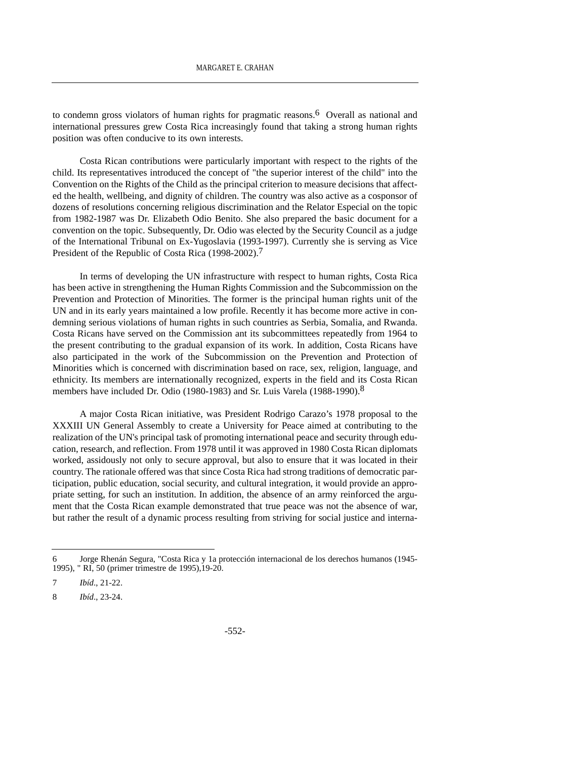to condemn gross violators of human rights for pragmatic reasons.<sup>6</sup> Overall as national and international pressures grew Costa Rica increasingly found that taking a strong human rights position was often conducive to its own interests.

Costa Rican contributions were particularly important with respect to the rights of the child. Its representatives introduced the concept of "the superior interest of the child" into the Convention on the Rights of the Child as the principal criterion to measure decisions that affected the health, wellbeing, and dignity of children. The country was also active as a cosponsor of dozens of resolutions concerning religious discrimination and the Relator Especial on the topic from 1982-1987 was Dr. Elizabeth Odio Benito. She also prepared the basic document for a convention on the topic. Subsequently, Dr. Odio was elected by the Security Council as a judge of the International Tribunal on Ex-Yugoslavia (1993-1997). Currently she is serving as Vice President of the Republic of Costa Rica (1998-2002).<sup>7</sup>

In terms of developing the UN infrastructure with respect to human rights, Costa Rica has been active in strengthening the Human Rights Commission and the Subcommission on the Prevention and Protection of Minorities. The former is the principal human rights unit of the UN and in its early years maintained a low profile. Recently it has become more active in condemning serious violations of human rights in such countries as Serbia, Somalia, and Rwanda. Costa Ricans have served on the Commission ant its subcommittees repeatedly from 1964 to the present contributing to the gradual expansion of its work. In addition, Costa Ricans have also participated in the work of the Subcommission on the Prevention and Protection of Minorities which is concerned with discrimination based on race, sex, religion, language, and ethnicity. Its members are internationally recognized, experts in the field and its Costa Rican members have included Dr. Odio (1980-1983) and Sr. Luis Varela (1988-1990).<sup>8</sup>

A major Costa Rican initiative, was President Rodrigo Carazo's 1978 proposal to the XXXIII UN General Assembly to create a University for Peace aimed at contributing to the realization of the UN's principal task of promoting international peace and security through education, research, and reflection. From 1978 until it was approved in 1980 Costa Rican diplomats worked, assidously not only to secure approval, but also to ensure that it was located in their country. The rationale offered was that since Costa Rica had strong traditions of democratic participation, public education, social security, and cultural integration, it would provide an appropriate setting, for such an institution. In addition, the absence of an army reinforced the argument that the Costa Rican example demonstrated that true peace was not the absence of war, but rather the result of a dynamic process resulting from striving for social justice and interna-

<sup>6</sup> Jorge Rhenán Segura, "Costa Rica y 1a protección internacional de los derechos humanos (1945- 1995), " RI, 50 (primer trimestre de 1995),19-20.

<sup>7</sup> *Ibíd*., 21-22.

<sup>8</sup> *Ibíd*., 23-24.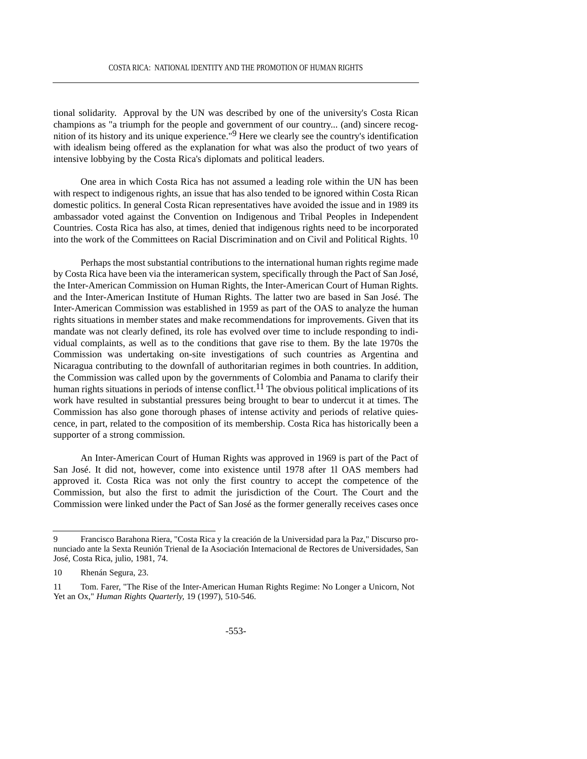tional solidarity. Approval by the UN was described by one of the university's Costa Rican champions as "a triumph for the people and government of our country... (and) sincere recognition of its history and its unique experience."9 Here we clearly see the country's identification with idealism being offered as the explanation for what was also the product of two years of intensive lobbying by the Costa Rica's diplomats and political leaders.

One area in which Costa Rica has not assumed a leading role within the UN has been with respect to indigenous rights, an issue that has also tended to be ignored within Costa Rican domestic politics. In general Costa Rican representatives have avoided the issue and in 1989 its ambassador voted against the Convention on Indigenous and Tribal Peoples in Independent Countries. Costa Rica has also, at times, denied that indigenous rights need to be incorporated into the work of the Committees on Racial Discrimination and on Civil and Political Rights. <sup>10</sup>

Perhaps the most substantial contributions to the international human rights regime made by Costa Rica have been via the interamerican system, specifically through the Pact of San José, the Inter-American Commission on Human Rights, the Inter-American Court of Human Rights. and the Inter-American Institute of Human Rights. The latter two are based in San José. The Inter-American Commission was established in 1959 as part of the OAS to analyze the human rights situations in member states and make recommendations for improvements. Given that its mandate was not clearly defined, its role has evolved over time to include responding to individual complaints, as well as to the conditions that gave rise to them. By the late 1970s the Commission was undertaking on-site investigations of such countries as Argentina and Nicaragua contributing to the downfall of authoritarian regimes in both countries. In addition, the Commission was called upon by the governments of Colombia and Panama to clarify their human rights situations in periods of intense conflict.<sup>11</sup> The obvious political implications of its work have resulted in substantial pressures being brought to bear to undercut it at times. The Commission has also gone thorough phases of intense activity and periods of relative quiescence, in part, related to the composition of its membership. Costa Rica has historically been a supporter of a strong commission.

An Inter-American Court of Human Rights was approved in 1969 is part of the Pact of San José. It did not, however, come into existence until 1978 after 1l OAS members had approved it. Costa Rica was not only the first country to accept the competence of the Commission, but also the first to admit the jurisdiction of the Court. The Court and the Commission were linked under the Pact of San José as the former generally receives cases once

<sup>9</sup> Francisco Barahona Riera, "Costa Rica y la creación de la Universidad para la Paz," Discurso pronunciado ante la Sexta Reunión Trienal de Ia Asociación Internacional de Rectores de Universidades, San José, Costa Rica, julio, 1981, 74.

<sup>10</sup> Rhenán Segura, 23.

<sup>11</sup> Tom. Farer, "The Rise of the Inter-American Human Rights Regime: No Longer a Unicorn, Not Yet an Ox," *Human Rights Quarterly,* 19 (1997), 510-546.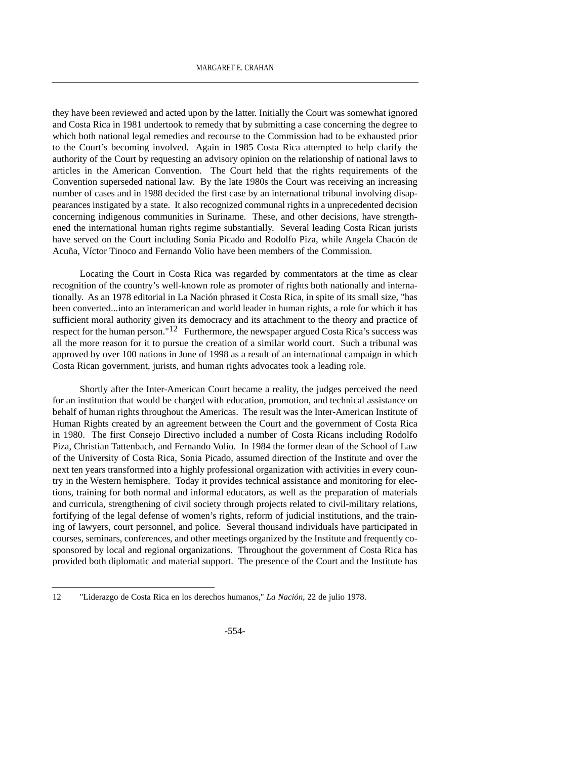they have been reviewed and acted upon by the latter. Initially the Court was somewhat ignored and Costa Rica in 1981 undertook to remedy that by submitting a case concerning the degree to which both national legal remedies and recourse to the Commission had to be exhausted prior to the Court's becoming involved. Again in 1985 Costa Rica attempted to help clarify the authority of the Court by requesting an advisory opinion on the relationship of national laws to articles in the American Convention. The Court held that the rights requirements of the Convention superseded national law. By the late 1980s the Court was receiving an increasing number of cases and in 1988 decided the first case by an international tribunal involving disappearances instigated by a state. It also recognized communal rights in a unprecedented decision concerning indigenous communities in Suriname. These, and other decisions, have strengthened the international human rights regime substantially. Several leading Costa Rican jurists have served on the Court including Sonia Picado and Rodolfo Piza, while Angela Chacón de Acuña, Víctor Tinoco and Fernando Volio have been members of the Commission.

Locating the Court in Costa Rica was regarded by commentators at the time as clear recognition of the country's well-known role as promoter of rights both nationally and internationally. As an 1978 editorial in La Nación phrased it Costa Rica, in spite of its small size, "has been converted...into an interamerican and world leader in human rights, a role for which it has sufficient moral authority given its democracy and its attachment to the theory and practice of respect for the human person." $12$  Furthermore, the newspaper argued Costa Rica's success was all the more reason for it to pursue the creation of a similar world court. Such a tribunal was approved by over 100 nations in June of 1998 as a result of an international campaign in which Costa Rican government, jurists, and human rights advocates took a leading role.

Shortly after the Inter-American Court became a reality, the judges perceived the need for an institution that would be charged with education, promotion, and technical assistance on behalf of human rights throughout the Americas. The result was the Inter-American Institute of Human Rights created by an agreement between the Court and the government of Costa Rica in 1980. The first Consejo Directivo included a number of Costa Ricans including Rodolfo Piza, Christian Tattenbach, and Fernando Volio. In 1984 the former dean of the School of Law of the University of Costa Rica, Sonia Picado, assumed direction of the Institute and over the next ten years transformed into a highly professional organization with activities in every country in the Western hemisphere. Today it provides technical assistance and monitoring for elections, training for both normal and informal educators, as well as the preparation of materials and curricula, strengthening of civil society through projects related to civil-military relations, fortifying of the legal defense of women's rights, reform of judicial institutions, and the training of lawyers, court personnel, and police. Several thousand individuals have participated in courses, seminars, conferences, and other meetings organized by the Institute and frequently cosponsored by local and regional organizations. Throughout the government of Costa Rica has provided both diplomatic and material support. The presence of the Court and the Institute has

<sup>12 &</sup>quot;Liderazgo de Costa Rica en los derechos humanos," *La Nación*, 22 de julio 1978.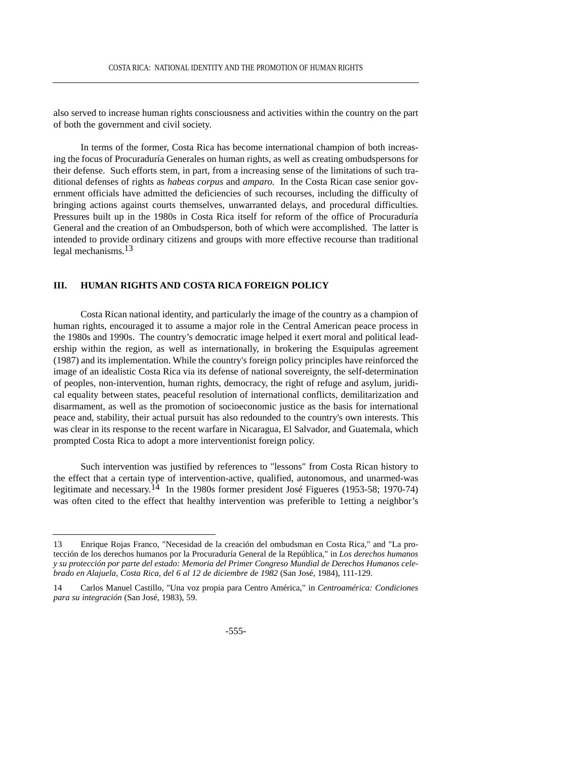also served to increase human rights consciousness and activities within the country on the part of both the government and civil society.

In terms of the former, Costa Rica has become international champion of both increasing the focus of Procuraduría Generales on human rights, as well as creating ombudspersons for their defense. Such efforts stem, in part, from a increasing sense of the limitations of such traditional defenses of rights as *habeas corpus* and *amparo.* In the Costa Rican case senior government officials have admitted the deficiencies of such recourses, including the difficulty of bringing actions against courts themselves, unwarranted delays, and procedural difficulties. Pressures built up in the 1980s in Costa Rica itself for reform of the office of Procuraduría General and the creation of an Ombudsperson, both of which were accomplished. The latter is intended to provide ordinary citizens and groups with more effective recourse than traditional legal mechanisms.13

## **III. HUMAN RIGHTS AND COSTA RICA FOREIGN POLICY**

Costa Rican national identity, and particularly the image of the country as a champion of human rights, encouraged it to assume a major role in the Central American peace process in the 1980s and 1990s. The country's democratic image helped it exert moral and political leadership within the region, as well as internationally, in brokering the Esquipulas agreement (1987) and its implementation. While the country's foreign policy principles have reinforced the image of an idealistic Costa Rica via its defense of national sovereignty, the self-determination of peoples, non-intervention, human rights, democracy, the right of refuge and asylum, juridical equality between states, peaceful resolution of international conflicts, demilitarization and disarmament, as well as the promotion of socioeconomic justice as the basis for international peace and, stability, their actual pursuit has also redounded to the country's own interests. This was clear in its response to the recent warfare in Nicaragua, El Salvador, and Guatemala, which prompted Costa Rica to adopt a more interventionist foreign policy.

Such intervention was justified by references to "lessons" from Costa Rican history to the effect that a certain type of intervention-active, qualified, autonomous, and unarmed-was legitimate and necessary.14 In the 1980s former president José Figueres (1953-58; 1970-74) was often cited to the effect that healthy intervention was preferible to 1etting a neighbor's

<sup>13</sup> Enrique Rojas Franco, "Necesidad de la creación del ombudsman en Costa Rica," and "La protección de los derechos humanos por la Procuraduría General de la República," in *Los derechos humanos y su protección por parte del estado: Memoria del Primer Congreso Mundial de Derechos Humanos celebrado en Alajuela, Costa Rica, del 6 al 12 de diciembre de 1982* (San José, 1984), 111-129.

<sup>14</sup> Carlos Manuel Castillo, "Una voz propia para Centro América," in *Centroamérica: Condiciones para su integración* (San José, 1983), 59.